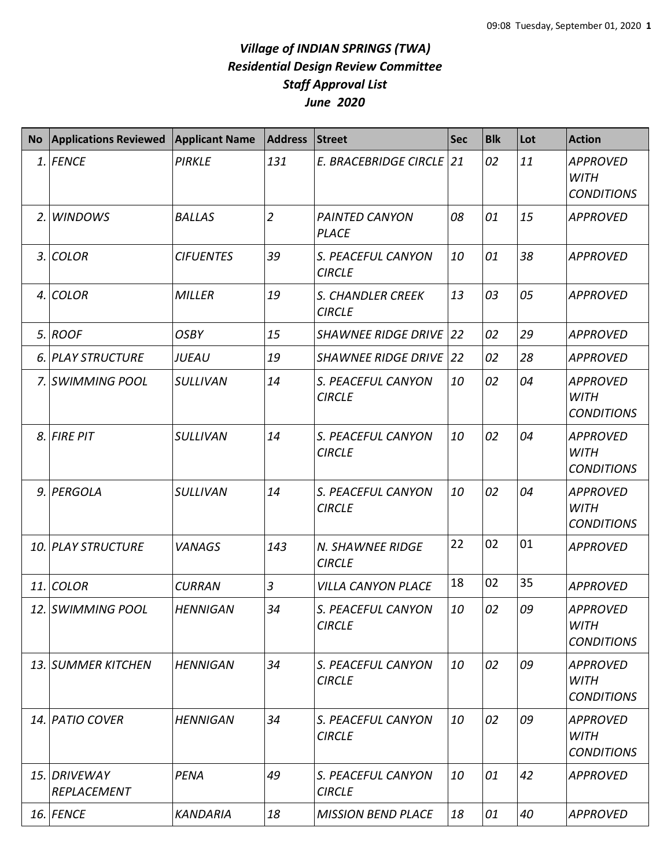## *Village of INDIAN SPRINGS (TWA) Residential Design Review Committee Staff Approval List June 2020*

| <b>No</b> | <b>Applications Reviewed</b> | <b>Applicant Name</b> | <b>Address</b> | Street                                | <b>Sec</b> | <b>Blk</b> | Lot | <b>Action</b>                                       |
|-----------|------------------------------|-----------------------|----------------|---------------------------------------|------------|------------|-----|-----------------------------------------------------|
|           | 1. FENCE                     | <b>PIRKLE</b>         | 131            | E. BRACEBRIDGE CIRCLE 21              |            | 02         | 11  | <b>APPROVED</b><br><b>WITH</b><br><b>CONDITIONS</b> |
|           | 2. WINDOWS                   | <b>BALLAS</b>         | $\overline{2}$ | <b>PAINTED CANYON</b><br><b>PLACE</b> | 08         | 01         | 15  | <b>APPROVED</b>                                     |
|           | 3. COLOR                     | <b>CIFUENTES</b>      | 39             | S. PEACEFUL CANYON<br><b>CIRCLE</b>   | 10         | 01         | 38  | <b>APPROVED</b>                                     |
|           | 4. COLOR                     | <b>MILLER</b>         | 19             | S. CHANDLER CREEK<br><b>CIRCLE</b>    | 13         | 03         | 05  | <b>APPROVED</b>                                     |
|           | 5. ROOF                      | <b>OSBY</b>           | 15             | <b>SHAWNEE RIDGE DRIVE</b>            | 22         | 02         | 29  | <b>APPROVED</b>                                     |
|           | 6. PLAY STRUCTURE            | JUEAU                 | 19             | <b>SHAWNEE RIDGE DRIVE</b>            | 22         | 02         | 28  | <b>APPROVED</b>                                     |
|           | 7. SWIMMING POOL             | <b>SULLIVAN</b>       | 14             | S. PEACEFUL CANYON<br><b>CIRCLE</b>   | 10         | 02         | 04  | <b>APPROVED</b><br><b>WITH</b><br><b>CONDITIONS</b> |
|           | 8. FIRE PIT                  | <b>SULLIVAN</b>       | 14             | S. PEACEFUL CANYON<br><b>CIRCLE</b>   | 10         | 02         | 04  | <b>APPROVED</b><br><b>WITH</b><br><b>CONDITIONS</b> |
|           | 9. PERGOLA                   | <b>SULLIVAN</b>       | 14             | S. PEACEFUL CANYON<br><b>CIRCLE</b>   | 10         | 02         | 04  | <b>APPROVED</b><br><b>WITH</b><br><b>CONDITIONS</b> |
|           | <b>10. PLAY STRUCTURE</b>    | <b>VANAGS</b>         | 143            | N. SHAWNEE RIDGE<br><b>CIRCLE</b>     | 22         | 02         | 01  | <b>APPROVED</b>                                     |
|           | 11. COLOR                    | <b>CURRAN</b>         | $\overline{3}$ | <b>VILLA CANYON PLACE</b>             | 18         | 02         | 35  | <b>APPROVED</b>                                     |
|           | 12. SWIMMING POOL            | <b>HENNIGAN</b>       | 34             | S. PEACEFUL CANYON<br><b>CIRCLE</b>   | 10         | 02         | 09  | <b>APPROVED</b><br><b>WITH</b><br><b>CONDITIONS</b> |
|           | <b>13. SUMMER KITCHEN</b>    | <b>HENNIGAN</b>       | 34             | S. PEACEFUL CANYON<br><b>CIRCLE</b>   | 10         | 02         | 09  | <b>APPROVED</b><br><b>WITH</b><br><b>CONDITIONS</b> |
|           | 14. PATIO COVER              | <b>HENNIGAN</b>       | 34             | S. PEACEFUL CANYON<br><b>CIRCLE</b>   | 10         | 02         | 09  | <b>APPROVED</b><br><b>WITH</b><br><b>CONDITIONS</b> |
|           | 15. DRIVEWAY<br>REPLACEMENT  | PENA                  | 49             | S. PEACEFUL CANYON<br><b>CIRCLE</b>   | 10         | 01         | 42  | <b>APPROVED</b>                                     |
|           | 16. FENCE                    | <b>KANDARIA</b>       | 18             | <b>MISSION BEND PLACE</b>             | 18         | 01         | 40  | <b>APPROVED</b>                                     |